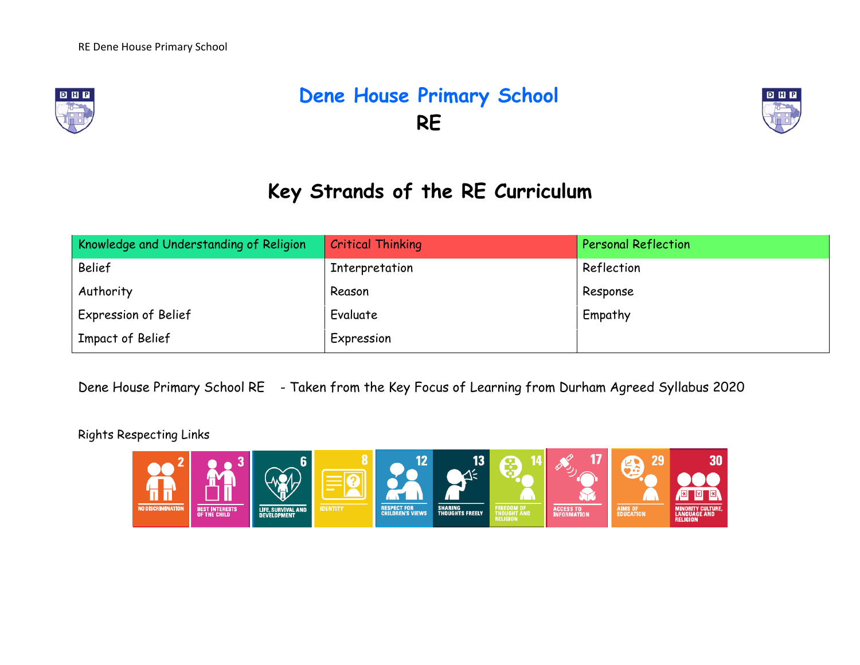

# **Dene House Primary School RE**



## **Key Strands of the RE Curriculum**

| Knowledge and Understanding of Religion | <b>Critical Thinking</b> | <b>Personal Reflection</b> |
|-----------------------------------------|--------------------------|----------------------------|
| <b>Belief</b>                           | Interpretation           | Reflection                 |
| Authority                               | Reason                   | Response                   |
| Expression of Belief                    | Evaluate                 | Empathy                    |
| Impact of Belief                        | Expression               |                            |

Dene House Primary School RE - Taken from the Key Focus of Learning from Durham Agreed Syllabus 2020

Rights Respecting Links

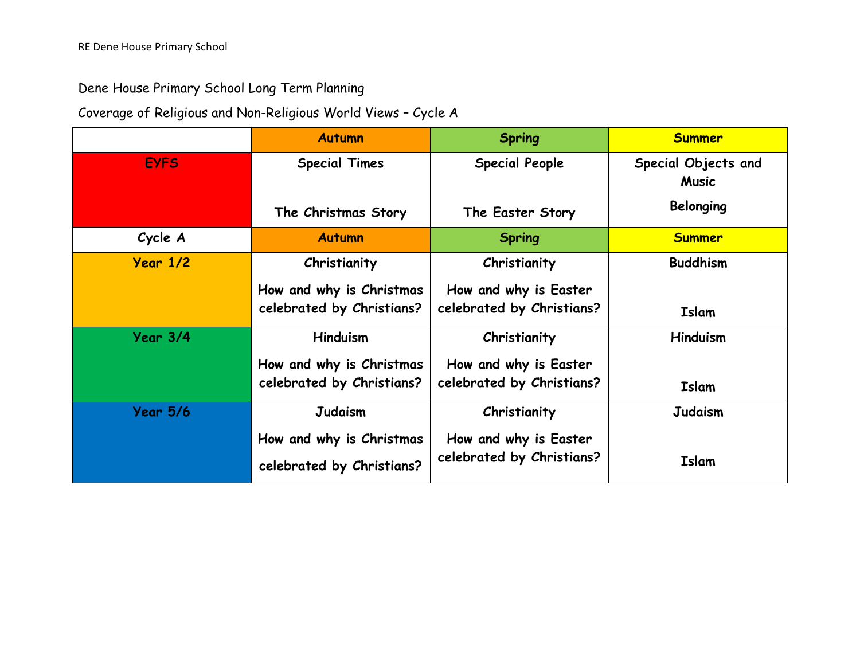#### Dene House Primary School Long Term Planning

### Coverage of Religious and Non-Religious World Views – Cycle A

|                 | <b>Autumn</b>                                         | <b>Spring</b>                                      | <b>Summer</b>                       |
|-----------------|-------------------------------------------------------|----------------------------------------------------|-------------------------------------|
| <b>EYFS</b>     | <b>Special Times</b>                                  | <b>Special People</b>                              | Special Objects and<br><b>Music</b> |
|                 | The Christmas Story                                   | The Easter Story                                   | <b>Belonging</b>                    |
| Cycle A         | <b>Autumn</b>                                         | <b>Spring</b>                                      | <b>Summer</b>                       |
| Year 1/2        | Christianity                                          | Christianity                                       | <b>Buddhism</b>                     |
|                 | How and why is Christmas<br>celebrated by Christians? | How and why is Easter<br>celebrated by Christians? | <b>Islam</b>                        |
| Year 3/4        | <b>Hinduism</b>                                       | Christianity                                       | <b>Hinduism</b>                     |
|                 | How and why is Christmas                              | How and why is Easter                              |                                     |
|                 | celebrated by Christians?                             | celebrated by Christians?                          | <b>Islam</b>                        |
| <b>Year 5/6</b> | <b>Judaism</b>                                        | Christianity                                       | <b>Judaism</b>                      |
|                 | How and why is Christmas                              | How and why is Easter                              |                                     |
|                 | celebrated by Christians?                             | celebrated by Christians?                          | <b>Islam</b>                        |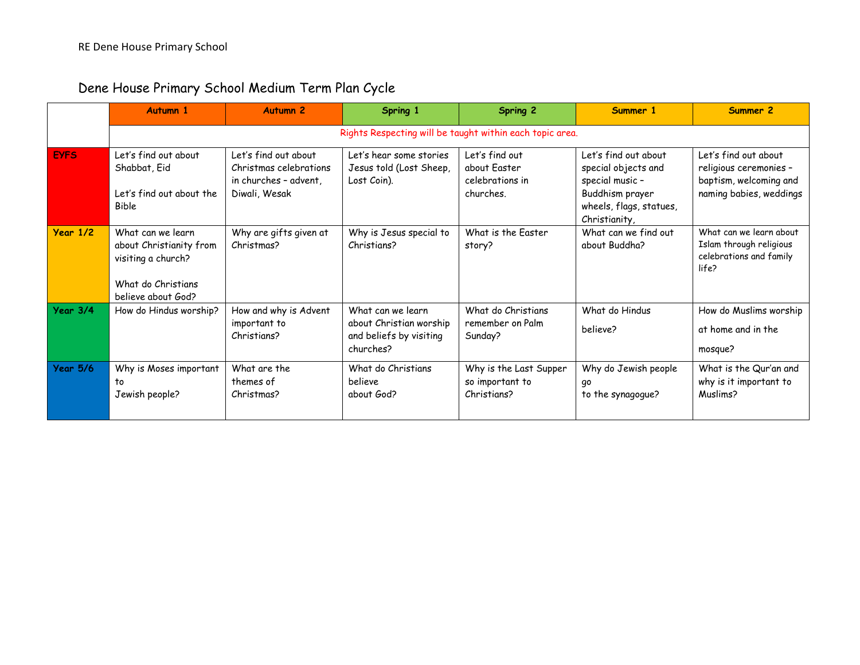|             | <b>Autumn 1</b>                                                                                                | <b>Autumn 2</b>                                                                          | Spring 1                                                                             | <b>Spring 2</b>                                                | Summer 1                                                                                                                      | Summer 2                                                                                            |  |  |  |  |
|-------------|----------------------------------------------------------------------------------------------------------------|------------------------------------------------------------------------------------------|--------------------------------------------------------------------------------------|----------------------------------------------------------------|-------------------------------------------------------------------------------------------------------------------------------|-----------------------------------------------------------------------------------------------------|--|--|--|--|
|             | Rights Respecting will be taught within each topic area.                                                       |                                                                                          |                                                                                      |                                                                |                                                                                                                               |                                                                                                     |  |  |  |  |
| <b>EYFS</b> | Let's find out about<br>Shabbat, Eid<br>Let's find out about the<br><b>Bible</b>                               | Let's find out about<br>Christmas celebrations<br>in churches - advent.<br>Diwali, Wesak | Let's hear some stories<br>Jesus told (Lost Sheep,<br>Lost Coin).                    | Let's find out<br>about Easter<br>celebrations in<br>churches. | Let's find out about<br>special objects and<br>special music -<br>Buddhism prayer<br>wheels, flags, statues,<br>Christianity, | Let's find out about<br>religious ceremonies -<br>baptism, welcoming and<br>naming babies, weddings |  |  |  |  |
| Year 1/2    | What can we learn<br>about Christianity from<br>visiting a church?<br>What do Christians<br>believe about God? | Why are gifts given at<br>Christmas?                                                     | Why is Jesus special to<br>Christians?                                               | What is the Easter<br>story?                                   | What can we find out<br>about Buddha?                                                                                         | What can we learn about<br>Islam through religious<br>celebrations and family<br>life?              |  |  |  |  |
| Year 3/4    | How do Hindus worship?                                                                                         | How and why is Advent<br>important to<br>Christians?                                     | What can we learn<br>about Christian worship<br>and beliefs by visiting<br>churches? | What do Christians<br>remember on Palm<br>Sunday?              | What do Hindus<br>believe?                                                                                                    | How do Muslims worship<br>at home and in the<br>mosque?                                             |  |  |  |  |
| Year 5/6    | Why is Moses important<br>to<br>Jewish people?                                                                 | What are the<br>themes of<br>Christmas?                                                  | What do Christians<br>believe<br>about God?                                          | Why is the Last Supper<br>so important to<br>Christians?       | Why do Jewish people<br>go<br>to the synagogue?                                                                               | What is the Qur'an and<br>why is it important to<br>Muslims?                                        |  |  |  |  |

### Dene House Primary School Medium Term Plan Cycle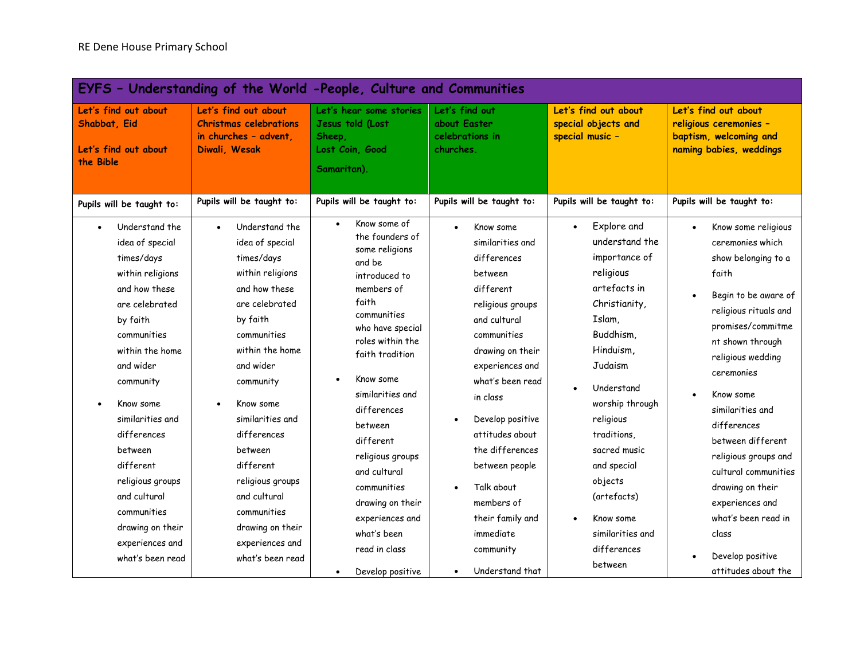| EYFS - Understanding of the World -People, Culture and Communities                                                                                                                                                                                                                                                                                                   |                                                                                                                                                                                                                                                                                                                                                                      |                                                                                                                                                                                                                                                                                                                                                                                              |                                                                                                                                                                                                                                                                                                                                                      |                                                                                                                                                                                                                                                                                                                                             |                                                                                                                                                                                                                                                                                                                                                                                                                      |  |  |  |
|----------------------------------------------------------------------------------------------------------------------------------------------------------------------------------------------------------------------------------------------------------------------------------------------------------------------------------------------------------------------|----------------------------------------------------------------------------------------------------------------------------------------------------------------------------------------------------------------------------------------------------------------------------------------------------------------------------------------------------------------------|----------------------------------------------------------------------------------------------------------------------------------------------------------------------------------------------------------------------------------------------------------------------------------------------------------------------------------------------------------------------------------------------|------------------------------------------------------------------------------------------------------------------------------------------------------------------------------------------------------------------------------------------------------------------------------------------------------------------------------------------------------|---------------------------------------------------------------------------------------------------------------------------------------------------------------------------------------------------------------------------------------------------------------------------------------------------------------------------------------------|----------------------------------------------------------------------------------------------------------------------------------------------------------------------------------------------------------------------------------------------------------------------------------------------------------------------------------------------------------------------------------------------------------------------|--|--|--|
| Let's find out about<br>Shabbat, Eid<br>Let's find out about<br>the Bible                                                                                                                                                                                                                                                                                            | Let's find out about<br><b>Christmas celebrations</b><br>in churches - advent.<br>Diwali, Wesak                                                                                                                                                                                                                                                                      | Let's hear some stories<br>Jesus told (Lost<br>Sheep,<br>Lost Coin, Good<br>Samaritan).                                                                                                                                                                                                                                                                                                      | Let's find out<br>about Easter<br>celebrations in<br>churches.                                                                                                                                                                                                                                                                                       | Let's find out about<br>special objects and<br>special music -                                                                                                                                                                                                                                                                              | Let's find out about<br>religious ceremonies -<br>baptism, welcoming and<br>naming babies, weddings                                                                                                                                                                                                                                                                                                                  |  |  |  |
| Pupils will be taught to:                                                                                                                                                                                                                                                                                                                                            | Pupils will be taught to:                                                                                                                                                                                                                                                                                                                                            | Pupils will be taught to:                                                                                                                                                                                                                                                                                                                                                                    | Pupils will be taught to:                                                                                                                                                                                                                                                                                                                            | Pupils will be taught to:                                                                                                                                                                                                                                                                                                                   | Pupils will be taught to:                                                                                                                                                                                                                                                                                                                                                                                            |  |  |  |
| Understand the<br>idea of special<br>times/days<br>within religions<br>and how these<br>are celebrated<br>by faith<br>communities<br>within the home<br>and wider<br>community<br>Know some<br>similarities and<br>differences<br>between<br>different<br>religious groups<br>and cultural<br>communities<br>drawing on their<br>experiences and<br>what's been read | Understand the<br>idea of special<br>times/days<br>within religions<br>and how these<br>are celebrated<br>by faith<br>communities<br>within the home<br>and wider<br>community<br>Know some<br>similarities and<br>differences<br>between<br>different<br>religious groups<br>and cultural<br>communities<br>drawing on their<br>experiences and<br>what's been read | Know some of<br>$\bullet$<br>the founders of<br>some religions<br>and be<br>introduced to<br>members of<br>faith<br>communities<br>who have special<br>roles within the<br>faith tradition<br>Know some<br>similarities and<br>differences<br>between<br>different<br>religious groups<br>and cultural<br>communities<br>drawing on their<br>experiences and<br>what's been<br>read in class | Know some<br>similarities and<br>differences<br>between<br>different<br>religious groups<br>and cultural<br>communities<br>drawing on their<br>experiences and<br>what's been read<br>in class<br>Develop positive<br>attitudes about<br>the differences<br>between people<br>Talk about<br>members of<br>their family and<br>immediate<br>community | Explore and<br>$\bullet$<br>understand the<br>importance of<br>religious<br>artefacts in<br>Christianity,<br>Islam,<br>Buddhism,<br>Hinduism,<br>Judaism<br>Understand<br>worship through<br>religious<br>traditions,<br>sacred music<br>and special<br>objects<br>(artefacts)<br>Know some<br>$\bullet$<br>similarities and<br>differences | Know some religious<br>ceremonies which<br>show belonging to a<br>faith<br>Begin to be aware of<br>religious rituals and<br>promises/commitme<br>nt shown through<br>religious wedding<br>ceremonies<br>Know some<br>similarities and<br>differences<br>between different<br>religious groups and<br>cultural communities<br>drawing on their<br>experiences and<br>what's been read in<br>class<br>Develop positive |  |  |  |
|                                                                                                                                                                                                                                                                                                                                                                      |                                                                                                                                                                                                                                                                                                                                                                      | Develop positive                                                                                                                                                                                                                                                                                                                                                                             | Understand that                                                                                                                                                                                                                                                                                                                                      | between                                                                                                                                                                                                                                                                                                                                     | attitudes about the                                                                                                                                                                                                                                                                                                                                                                                                  |  |  |  |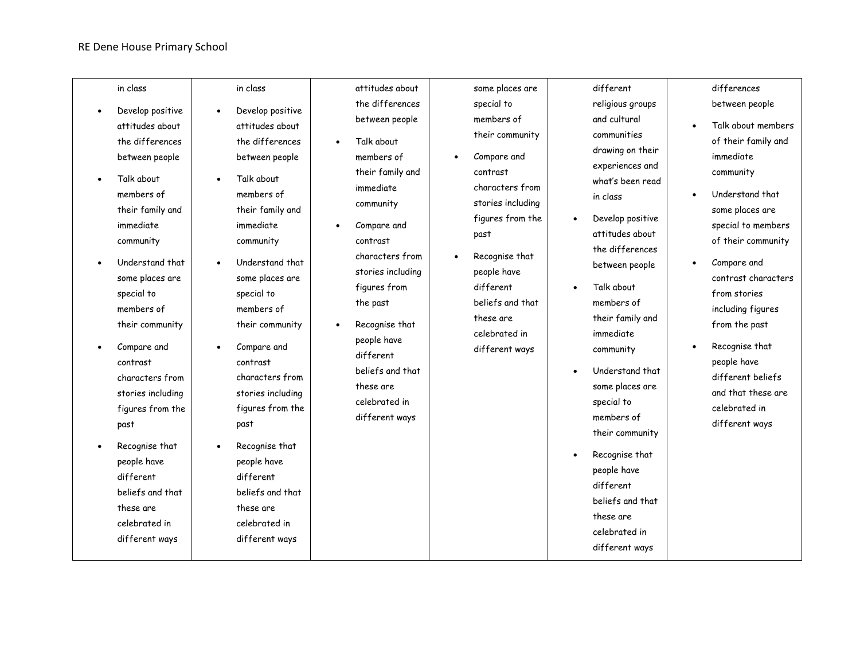#### RE Dene House Primary School

|           | in class                                                                                                                                                                         | in class                                                                                                                                                                         | attitudes about                                                                                                                                                                    | some places are                                                                                                | different                                                                                                                                                                                               | differences                                                                                                                                                                                             |
|-----------|----------------------------------------------------------------------------------------------------------------------------------------------------------------------------------|----------------------------------------------------------------------------------------------------------------------------------------------------------------------------------|------------------------------------------------------------------------------------------------------------------------------------------------------------------------------------|----------------------------------------------------------------------------------------------------------------|---------------------------------------------------------------------------------------------------------------------------------------------------------------------------------------------------------|---------------------------------------------------------------------------------------------------------------------------------------------------------------------------------------------------------|
| $\bullet$ | Develop positive                                                                                                                                                                 | Develop positive<br>$\bullet$                                                                                                                                                    | the differences                                                                                                                                                                    | special to                                                                                                     | religious groups                                                                                                                                                                                        | between people                                                                                                                                                                                          |
|           | attitudes about                                                                                                                                                                  | attitudes about                                                                                                                                                                  | between people                                                                                                                                                                     | members of                                                                                                     | and cultural                                                                                                                                                                                            | Talk about members                                                                                                                                                                                      |
| $\bullet$ | the differences<br>between people<br>Talk about<br>members of                                                                                                                    | the differences<br>between people<br>Talk about<br>$\bullet$<br>members of                                                                                                       | Talk about<br>members of<br>their family and<br>immediate                                                                                                                          | their community<br>Compare and<br>contrast<br>characters from                                                  | communities<br>drawing on their<br>experiences and<br>what's been read<br>in class                                                                                                                      | of their family and<br>immediate<br>community<br>Understand that                                                                                                                                        |
|           | their family and                                                                                                                                                                 | their family and                                                                                                                                                                 | community                                                                                                                                                                          | stories including<br>figures from the                                                                          | Develop positive<br>$\bullet$                                                                                                                                                                           | some places are                                                                                                                                                                                         |
|           | immediate<br>community                                                                                                                                                           | immediate<br>community                                                                                                                                                           | Compare and<br>contrast                                                                                                                                                            | past                                                                                                           | attitudes about                                                                                                                                                                                         | special to members<br>of their community                                                                                                                                                                |
| $\bullet$ | Understand that<br>some places are<br>special to<br>members of<br>their community<br>Compare and<br>contrast<br>characters from<br>stories including<br>figures from the<br>past | Understand that<br>some places are<br>special to<br>members of<br>their community<br>Compare and<br>contrast<br>characters from<br>stories including<br>figures from the<br>past | characters from<br>stories including<br>figures from<br>the past<br>Recognise that<br>people have<br>different<br>beliefs and that<br>these are<br>celebrated in<br>different ways | Recognise that<br>people have<br>different<br>beliefs and that<br>these are<br>celebrated in<br>different ways | the differences<br>between people<br>Talk about<br>$\bullet$<br>members of<br>their family and<br>immediate<br>community<br>Understand that<br>$\bullet$<br>some places are<br>special to<br>members of | Compare and<br>contrast characters<br>from stories<br>including figures<br>from the past<br>Recognise that<br>people have<br>different beliefs<br>and that these are<br>celebrated in<br>different ways |
|           | Recognise that<br>people have<br>different<br>beliefs and that<br>these are<br>celebrated in<br>different ways                                                                   | Recognise that<br>people have<br>different<br>beliefs and that<br>these are<br>celebrated in<br>different ways                                                                   |                                                                                                                                                                                    |                                                                                                                | their community<br>Recognise that<br>$\bullet$<br>people have<br>different<br>beliefs and that<br>these are<br>celebrated in<br>different ways                                                          |                                                                                                                                                                                                         |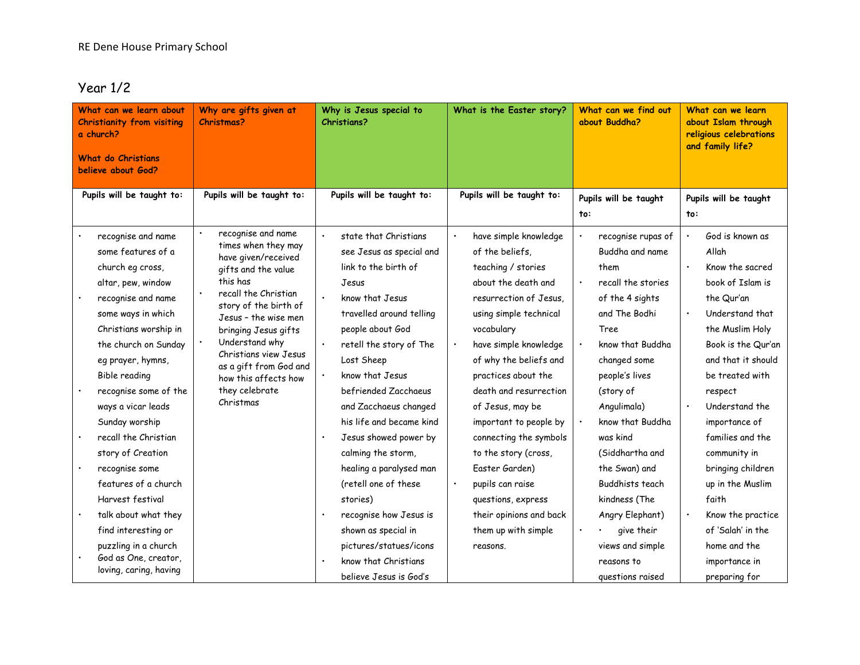#### Year 1/2

| What can we learn about<br><b>Christianity from visiting</b><br>a church?<br><b>What do Christians</b><br>believe about God? |                        | Why are gifts given at<br><b>Christmas?</b>     | Why is Jesus special to<br><b>Christians?</b> | What is the Easter story? | What can we find out<br>about Buddha? | What can we learn<br>about Islam through<br>religious celebrations<br>and family life? |
|------------------------------------------------------------------------------------------------------------------------------|------------------------|-------------------------------------------------|-----------------------------------------------|---------------------------|---------------------------------------|----------------------------------------------------------------------------------------|
|                                                                                                                              |                        |                                                 |                                               |                           |                                       |                                                                                        |
| Pupils will be taught to:                                                                                                    |                        | Pupils will be taught to:                       | Pupils will be taught to:                     | Pupils will be taught to: | Pupils will be taught                 | Pupils will be taught                                                                  |
|                                                                                                                              |                        |                                                 |                                               |                           | to:                                   | to:                                                                                    |
|                                                                                                                              | recognise and name     | recognise and name                              | $\bullet$<br>state that Christians            | have simple knowledge     | recognise rupas of                    | God is known as<br>$\bullet$                                                           |
|                                                                                                                              | some features of a     | times when they may<br>have given/received      | see Jesus as special and                      | of the beliefs.           | Buddha and name                       | Allah                                                                                  |
|                                                                                                                              | church eg cross,       | gifts and the value                             | link to the birth of                          | teaching / stories        | them                                  | $\bullet$<br>Know the sacred                                                           |
|                                                                                                                              | altar, pew, window     | this has                                        | Jesus                                         | about the death and       | recall the stories                    | book of Islam is                                                                       |
|                                                                                                                              | recognise and name     | recall the Christian<br>story of the birth of   | $\bullet$<br>know that Jesus                  | resurrection of Jesus.    | of the 4 sights                       | the Qur'an                                                                             |
|                                                                                                                              | some ways in which     | Jesus - the wise men                            | travelled around telling                      | using simple technical    | and The Bodhi                         | Understand that                                                                        |
|                                                                                                                              | Christians worship in  | bringing Jesus gifts                            | people about God                              | vocabulary                | Tree                                  | the Muslim Holy                                                                        |
|                                                                                                                              | the church on Sunday   | Understand why                                  | $\bullet$<br>retell the story of The          | have simple knowledge     | know that Buddha                      | Book is the Qur'an                                                                     |
|                                                                                                                              | eg prayer, hymns,      | Christians view Jesus<br>as a gift from God and | Lost Sheep                                    | of why the beliefs and    | changed some                          | and that it should                                                                     |
|                                                                                                                              | Bible reading          | how this affects how                            | know that Jesus<br>$\bullet$                  | practices about the       | people's lives                        | be treated with                                                                        |
|                                                                                                                              | recognise some of the  | they celebrate                                  | befriended Zacchaeus                          | death and resurrection    | (story of                             | respect                                                                                |
|                                                                                                                              | ways a vicar leads     | Christmas                                       | and Zacchaeus changed                         | of Jesus, may be          | Angulimala)                           | Understand the<br>$\bullet$                                                            |
|                                                                                                                              | Sunday worship         |                                                 | his life and became kind                      | important to people by    | know that Buddha                      | importance of                                                                          |
|                                                                                                                              | recall the Christian   |                                                 | Jesus showed power by                         | connecting the symbols    | was kind                              | families and the                                                                       |
|                                                                                                                              | story of Creation      |                                                 | calming the storm,                            | to the story (cross,      | (Siddhartha and                       | community in                                                                           |
|                                                                                                                              | recognise some         |                                                 | healing a paralysed man                       | Easter Garden)            | the Swan) and                         | bringing children                                                                      |
|                                                                                                                              | features of a church   |                                                 | (retell one of these                          | pupils can raise          | Buddhists teach                       | up in the Muslim                                                                       |
|                                                                                                                              | Harvest festival       |                                                 | stories)                                      | questions, express        | kindness (The                         | faith                                                                                  |
|                                                                                                                              | talk about what they   |                                                 | recognise how Jesus is                        | their opinions and back   | Angry Elephant)                       | Know the practice                                                                      |
|                                                                                                                              | find interesting or    |                                                 | shown as special in                           | them up with simple       | give their                            | of 'Salah' in the                                                                      |
|                                                                                                                              | puzzling in a church   |                                                 | pictures/statues/icons                        | reasons.                  | views and simple                      | home and the                                                                           |
|                                                                                                                              | God as One, creator,   |                                                 | know that Christians<br>$\bullet$             |                           | reasons to                            | importance in                                                                          |
|                                                                                                                              | loving, caring, having |                                                 | believe Jesus is God's                        |                           | questions raised                      | preparing for                                                                          |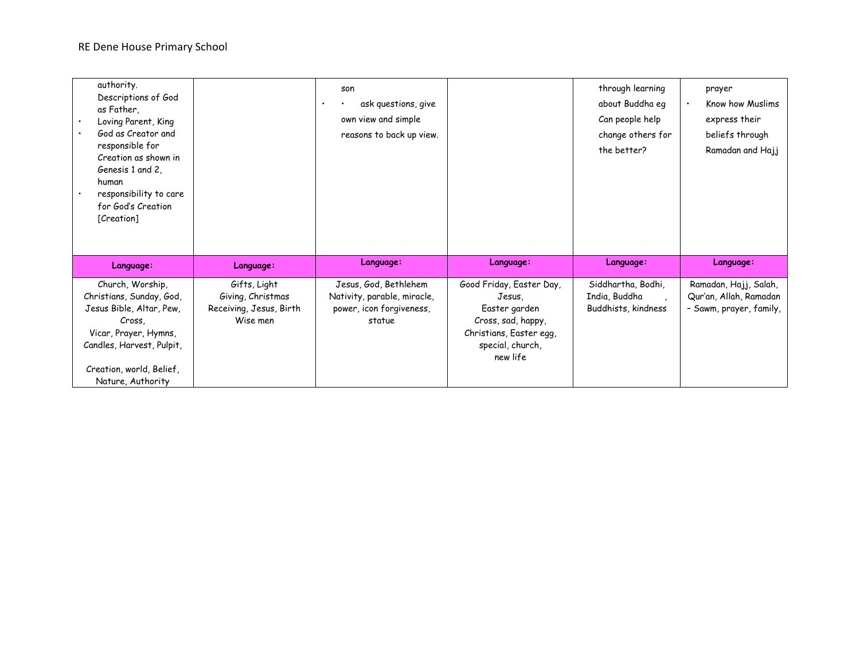| authority.<br>Descriptions of God<br>as Father,<br>Loving Parent, King<br>God as Creator and<br>responsible for<br>Creation as shown in<br>Genesis 1 and 2,<br>human<br>responsibility to care<br>for God's Creation<br>[Creation] |                                     | son<br>ask questions, give<br>own view and simple<br>reasons to back up view. |                                     | through learning<br>about Buddha eg<br>Can people help<br>change others for<br>the better? | prayer<br>Know how Muslims<br>$\bullet$<br>express their<br>beliefs through<br>Ramadan and Hajj |
|------------------------------------------------------------------------------------------------------------------------------------------------------------------------------------------------------------------------------------|-------------------------------------|-------------------------------------------------------------------------------|-------------------------------------|--------------------------------------------------------------------------------------------|-------------------------------------------------------------------------------------------------|
| Language:                                                                                                                                                                                                                          | Language:                           | Language:                                                                     | Language:                           | Language:                                                                                  | Language:                                                                                       |
| Church, Worship,                                                                                                                                                                                                                   | Gifts, Light                        | Jesus, God, Bethlehem                                                         | Good Friday, Easter Day,            | Siddhartha, Bodhi,                                                                         | Ramadan, Hajj, Salah,                                                                           |
| Christians, Sunday, God,                                                                                                                                                                                                           | Giving, Christmas                   | Nativity, parable, miracle,                                                   | Jesus,                              | India, Buddha                                                                              | Qur'an, Allah, Ramadan                                                                          |
| Jesus Bible, Altar, Pew,<br>Cross.                                                                                                                                                                                                 | Receiving, Jesus, Birth<br>Wise men | power, icon forgiveness,<br>statue                                            | Easter garden<br>Cross, sad, happy, | Buddhists, kindness                                                                        | - Sawm, prayer, family,                                                                         |
|                                                                                                                                                                                                                                    |                                     |                                                                               |                                     |                                                                                            |                                                                                                 |
|                                                                                                                                                                                                                                    |                                     |                                                                               |                                     |                                                                                            |                                                                                                 |
| Vicar, Prayer, Hymns,                                                                                                                                                                                                              |                                     |                                                                               | Christians, Easter egg,             |                                                                                            |                                                                                                 |
| Candles, Harvest, Pulpit,                                                                                                                                                                                                          |                                     |                                                                               | special, church,<br>new life        |                                                                                            |                                                                                                 |
| Creation, world, Belief,                                                                                                                                                                                                           |                                     |                                                                               |                                     |                                                                                            |                                                                                                 |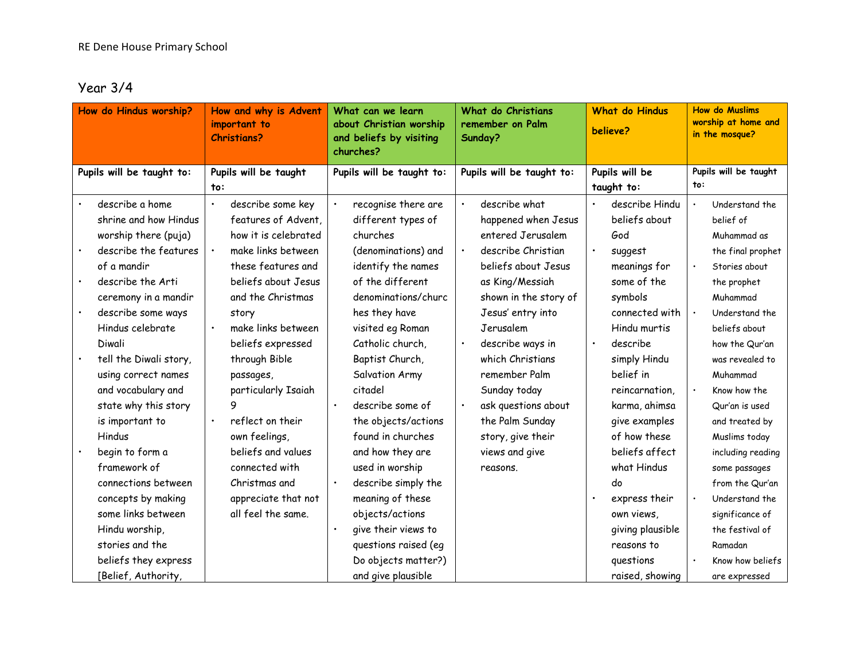#### Year 3/4

| How do Hindus worship?    |           | How and why is Advent<br>important to<br><b>Christians?</b> | What can we learn<br>about Christian worship<br>and beliefs by visiting<br>churches? |           | What do Christians<br>remember on Palm<br>Sunday? | <b>What do Hindus</b><br>believe? |                  |     | <b>How do Muslims</b><br>worship at home and<br>in the mosque? |
|---------------------------|-----------|-------------------------------------------------------------|--------------------------------------------------------------------------------------|-----------|---------------------------------------------------|-----------------------------------|------------------|-----|----------------------------------------------------------------|
| Pupils will be taught to: |           | Pupils will be taught                                       | Pupils will be taught to:                                                            |           | Pupils will be taught to:                         |                                   | Pupils will be   |     | Pupils will be taught                                          |
|                           | to:       |                                                             |                                                                                      |           |                                                   |                                   | taught to:       | to: |                                                                |
| describe a home           | $\bullet$ | describe some key                                           | recognise there are                                                                  |           | describe what                                     |                                   | describe Hindu   |     | Understand the                                                 |
| shrine and how Hindus     |           | features of Advent,                                         | different types of                                                                   |           | happened when Jesus                               |                                   | beliefs about    |     | belief of                                                      |
| worship there (puja)      |           | how it is celebrated                                        | churches                                                                             |           | entered Jerusalem                                 |                                   | God              |     | Muhammad as                                                    |
| describe the features     |           | make links between                                          | (denominations) and                                                                  |           | describe Christian                                |                                   | suggest          |     | the final prophet                                              |
| of a mandir               |           | these features and                                          | identify the names                                                                   |           | beliefs about Jesus                               |                                   | meanings for     |     | Stories about                                                  |
| describe the Arti         |           | beliefs about Jesus                                         | of the different                                                                     |           | as King/Messiah                                   |                                   | some of the      |     | the prophet                                                    |
| ceremony in a mandir      |           | and the Christmas                                           | denominations/churc                                                                  |           | shown in the story of                             |                                   | symbols          |     | Muhammad                                                       |
| describe some ways        |           | story                                                       | hes they have                                                                        |           | Jesus' entry into                                 |                                   | connected with   |     | Understand the                                                 |
| Hindus celebrate          |           | make links between                                          | visited eg Roman                                                                     |           | Jerusalem                                         |                                   | Hindu murtis     |     | beliefs about                                                  |
| Diwali                    |           | beliefs expressed                                           | Catholic church.                                                                     | $\bullet$ | describe ways in                                  | $\bullet$                         | describe         |     | how the Qur'an                                                 |
| tell the Diwali story,    |           | through Bible                                               | Baptist Church,                                                                      |           | which Christians                                  |                                   | simply Hindu     |     | was revealed to                                                |
| using correct names       |           | passages,                                                   | Salvation Army                                                                       |           | remember Palm                                     |                                   | belief in        |     | Muhammad                                                       |
| and vocabulary and        |           | particularly Isaiah                                         | citadel                                                                              |           | Sunday today                                      |                                   | reincarnation,   |     | Know how the                                                   |
| state why this story      |           |                                                             | describe some of                                                                     |           | ask questions about                               |                                   | karma, ahimsa    |     | Qur'an is used                                                 |
| is important to           | $\bullet$ | reflect on their                                            | the objects/actions                                                                  |           | the Palm Sunday                                   |                                   | give examples    |     | and treated by                                                 |
| Hindus                    |           | own feelings,                                               | found in churches                                                                    |           | story, give their                                 |                                   | of how these     |     | Muslims today                                                  |
| begin to form a           |           | beliefs and values                                          | and how they are                                                                     |           | views and give                                    |                                   | beliefs affect   |     | including reading                                              |
| framework of              |           | connected with                                              | used in worship                                                                      |           | reasons.                                          |                                   | what Hindus      |     | some passages                                                  |
| connections between       |           | Christmas and                                               | describe simply the                                                                  |           |                                                   |                                   | do               |     | from the Qur'an                                                |
| concepts by making        |           | appreciate that not                                         | meaning of these                                                                     |           |                                                   | $\bullet$                         | express their    |     | Understand the                                                 |
| some links between        |           | all feel the same.                                          | objects/actions                                                                      |           |                                                   |                                   | own views,       |     | significance of                                                |
| Hindu worship,            |           |                                                             | give their views to                                                                  |           |                                                   |                                   | giving plausible |     | the festival of                                                |
| stories and the           |           |                                                             | questions raised (eq                                                                 |           |                                                   |                                   | reasons to       |     | Ramadan                                                        |
| beliefs they express      |           |                                                             | Do objects matter?)                                                                  |           |                                                   |                                   | questions        |     | Know how beliefs                                               |
| [Belief, Authority,       |           |                                                             | and give plausible                                                                   |           |                                                   |                                   | raised, showing  |     | are expressed                                                  |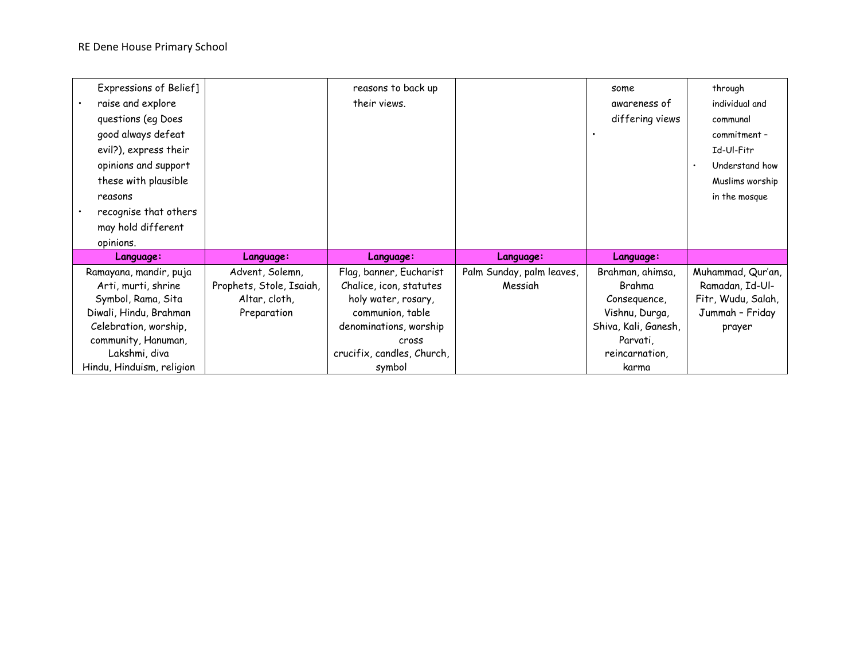| Expressions of Belief]    |                          | reasons to back up         |                           | some                 | through            |
|---------------------------|--------------------------|----------------------------|---------------------------|----------------------|--------------------|
| raise and explore         |                          | their views.               |                           | awareness of         | individual and     |
| questions (eq Does        |                          |                            |                           | differing views      | communal           |
| good always defeat        |                          |                            |                           |                      | commitment -       |
| evil?), express their     |                          |                            |                           |                      | Id-Ul-Fitr         |
| opinions and support      |                          |                            |                           |                      | Understand how     |
| these with plausible      |                          |                            |                           |                      | Muslims worship    |
| reasons                   |                          |                            |                           |                      | in the mosque      |
| recognise that others     |                          |                            |                           |                      |                    |
| may hold different        |                          |                            |                           |                      |                    |
| opinions.                 |                          |                            |                           |                      |                    |
| Language:                 | Language:                | Language:                  | Language:                 | Language:            |                    |
| Ramayana, mandir, puja    | Advent, Solemn,          | Flag, banner, Eucharist    | Palm Sunday, palm leaves, | Brahman, ahimsa,     | Muhammad, Qur'an,  |
| Arti, murti, shrine       | Prophets, Stole, Isaiah, | Chalice, icon, statutes    | Messiah                   | Brahma               | Ramadan, Id-Ul-    |
| Symbol, Rama, Sita        | Altar, cloth,            | holy water, rosary,        |                           | Consequence,         | Fitr, Wudu, Salah, |
| Diwali, Hindu, Brahman    | Preparation              | communion, table           |                           | Vishnu, Durga,       | Jummah - Friday    |
| Celebration, worship,     |                          | denominations, worship     |                           | Shiva, Kali, Ganesh, | prayer             |
| community, Hanuman,       |                          | cross                      |                           | Parvati,             |                    |
| Lakshmi, diva             |                          | crucifix, candles, Church, |                           | reincarnation,       |                    |
| Hindu, Hinduism, religion |                          | symbol                     |                           | karma                |                    |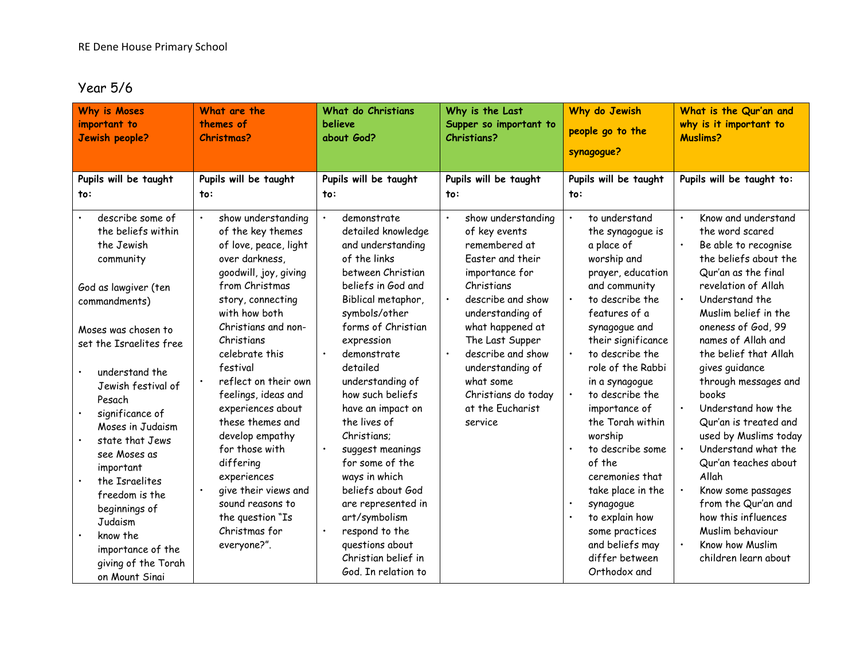#### Year 5/6

| <b>Why is Moses</b>                                                                                                                                                                                                                                                                                                                                                                                    | What are the                                                                                                                                                                                                                                                                                                                                                                                                                                                                                    | What do Christians                                                                                                                                                                                                                                                                                                                                                                                                                                                           | Why is the Last                                                                                                                                                                                                                                                                                                                | Why do Jewish                                                                                                                                                                                                                                                                                                                                                                                                                                                                    | What is the Qur'an and                                                                                                                                                                                                                                                                                                                                                                                                                                                                                                                                                                    |
|--------------------------------------------------------------------------------------------------------------------------------------------------------------------------------------------------------------------------------------------------------------------------------------------------------------------------------------------------------------------------------------------------------|-------------------------------------------------------------------------------------------------------------------------------------------------------------------------------------------------------------------------------------------------------------------------------------------------------------------------------------------------------------------------------------------------------------------------------------------------------------------------------------------------|------------------------------------------------------------------------------------------------------------------------------------------------------------------------------------------------------------------------------------------------------------------------------------------------------------------------------------------------------------------------------------------------------------------------------------------------------------------------------|--------------------------------------------------------------------------------------------------------------------------------------------------------------------------------------------------------------------------------------------------------------------------------------------------------------------------------|----------------------------------------------------------------------------------------------------------------------------------------------------------------------------------------------------------------------------------------------------------------------------------------------------------------------------------------------------------------------------------------------------------------------------------------------------------------------------------|-------------------------------------------------------------------------------------------------------------------------------------------------------------------------------------------------------------------------------------------------------------------------------------------------------------------------------------------------------------------------------------------------------------------------------------------------------------------------------------------------------------------------------------------------------------------------------------------|
| important to                                                                                                                                                                                                                                                                                                                                                                                           | themes of                                                                                                                                                                                                                                                                                                                                                                                                                                                                                       | believe                                                                                                                                                                                                                                                                                                                                                                                                                                                                      | Supper so important to                                                                                                                                                                                                                                                                                                         | people go to the                                                                                                                                                                                                                                                                                                                                                                                                                                                                 | why is it important to                                                                                                                                                                                                                                                                                                                                                                                                                                                                                                                                                                    |
| Jewish people?                                                                                                                                                                                                                                                                                                                                                                                         | <b>Christmas?</b>                                                                                                                                                                                                                                                                                                                                                                                                                                                                               | about God?                                                                                                                                                                                                                                                                                                                                                                                                                                                                   | <b>Christians?</b>                                                                                                                                                                                                                                                                                                             | synagogue?                                                                                                                                                                                                                                                                                                                                                                                                                                                                       | <b>Muslims?</b>                                                                                                                                                                                                                                                                                                                                                                                                                                                                                                                                                                           |
| Pupils will be taught                                                                                                                                                                                                                                                                                                                                                                                  | Pupils will be taught                                                                                                                                                                                                                                                                                                                                                                                                                                                                           | Pupils will be taught                                                                                                                                                                                                                                                                                                                                                                                                                                                        | Pupils will be taught                                                                                                                                                                                                                                                                                                          | Pupils will be taught                                                                                                                                                                                                                                                                                                                                                                                                                                                            | Pupils will be taught to:                                                                                                                                                                                                                                                                                                                                                                                                                                                                                                                                                                 |
| to:                                                                                                                                                                                                                                                                                                                                                                                                    | to:                                                                                                                                                                                                                                                                                                                                                                                                                                                                                             | to:                                                                                                                                                                                                                                                                                                                                                                                                                                                                          | to:                                                                                                                                                                                                                                                                                                                            | to:                                                                                                                                                                                                                                                                                                                                                                                                                                                                              |                                                                                                                                                                                                                                                                                                                                                                                                                                                                                                                                                                                           |
| describe some of<br>the beliefs within<br>the Jewish<br>community<br>God as lawgiver (ten<br>commandments)<br>Moses was chosen to<br>set the Israelites free<br>understand the<br>Jewish festival of<br>Pesach<br>significance of<br>Moses in Judaism<br>state that Jews<br>see Moses as<br>important<br>the Israelites<br>freedom is the<br>beginnings of<br>Judaism<br>know the<br>importance of the | show understanding<br>of the key themes<br>of love, peace, light<br>over darkness,<br>qoodwill, joy, giving<br>from Christmas<br>story, connecting<br>with how both<br>Christians and non-<br>Christians<br>celebrate this<br>festival<br>reflect on their own<br>feelings, ideas and<br>experiences about<br>these themes and<br>develop empathy<br>for those with<br>differing<br>experiences<br>give their views and<br>sound reasons to<br>the question "Is<br>Christmas for<br>everyone?". | demonstrate<br>detailed knowledge<br>and understanding<br>of the links<br>between Christian<br>beliefs in God and<br>Biblical metaphor,<br>symbols/other<br>forms of Christian<br>expression<br>demonstrate<br>detailed<br>understanding of<br>how such beliefs<br>have an impact on<br>the lives of<br>Christians:<br>suggest meanings<br>for some of the<br>ways in which<br>beliefs about God<br>are represented in<br>art/symbolism<br>respond to the<br>questions about | show understanding<br>$\bullet$<br>of key events<br>remembered at<br>Easter and their<br>importance for<br>Christians<br>describe and show<br>$\bullet$<br>understanding of<br>what happened at<br>The Last Supper<br>describe and show<br>understanding of<br>what some<br>Christians do today<br>at the Eucharist<br>service | to understand<br>the synagogue is<br>a place of<br>worship and<br>prayer, education<br>and community<br>to describe the<br>features of a<br>synagogue and<br>their significance<br>to describe the<br>role of the Rabbi<br>in a synagogue<br>to describe the<br>importance of<br>the Torah within<br>worship<br>to describe some<br>of the<br>ceremonies that<br>take place in the<br>$\bullet$<br>synagogue<br>$\bullet$<br>to explain how<br>some practices<br>and beliefs may | Know and understand<br>the word scared<br>Be able to recognise<br>the beliefs about the<br>Qur'an as the final<br>revelation of Allah<br>Understand the<br>$\bullet$<br>Muslim belief in the<br>oneness of God, 99<br>names of Allah and<br>the belief that Allah<br>gives guidance<br>through messages and<br>books<br>Understand how the<br>$\bullet$<br>Qur'an is treated and<br>used by Muslims today<br>Understand what the<br>Qur'an teaches about<br>Allah<br>Know some passages<br>from the Qur'an and<br>how this influences<br>Muslim behaviour<br>Know how Muslim<br>$\bullet$ |
| giving of the Torah<br>on Mount Sinai                                                                                                                                                                                                                                                                                                                                                                  |                                                                                                                                                                                                                                                                                                                                                                                                                                                                                                 | Christian belief in<br>God. In relation to                                                                                                                                                                                                                                                                                                                                                                                                                                   |                                                                                                                                                                                                                                                                                                                                | differ between<br>Orthodox and                                                                                                                                                                                                                                                                                                                                                                                                                                                   | children learn about                                                                                                                                                                                                                                                                                                                                                                                                                                                                                                                                                                      |